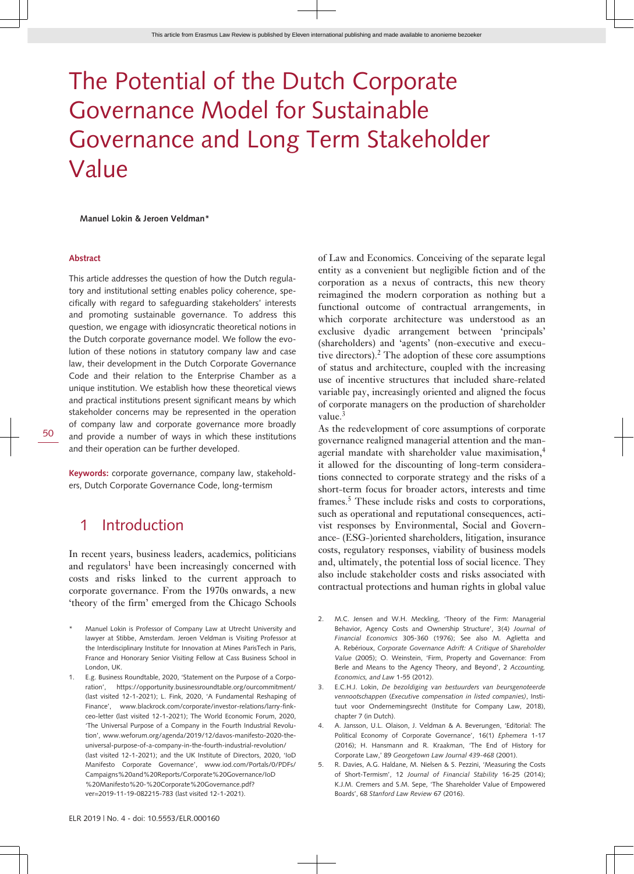# The Potential of the Dutch Corporate Governance Model for Sustainable Governance and Long Term Stakeholder Value

**Manuel Lokin & Jeroen Veldman\***

#### **Abstract**

This article addresses the question of how the Dutch regulatory and institutional setting enables policy coherence, specifically with regard to safeguarding stakeholders' interests and promoting sustainable governance. To address this question, we engage with idiosyncratic theoretical notions in the Dutch corporate governance model. We follow the evolution of these notions in statutory company law and case law, their development in the Dutch Corporate Governance Code and their relation to the Enterprise Chamber as a unique institution. We establish how these theoretical views and practical institutions present significant means by which stakeholder concerns may be represented in the operation of company law and corporate governance more broadly and provide a number of ways in which these institutions and their operation can be further developed.

**Keywords:** corporate governance, company law, stakeholders, Dutch Corporate Governance Code, long-termism

### 1 Introduction

In recent years, business leaders, academics, politicians and regulators<sup>1</sup> have been increasingly concerned with costs and risks linked to the current approach to corporate governance. From the 1970s onwards, a new 'theory of the firm' emerged from the Chicago Schools

- Manuel Lokin is Professor of Company Law at Utrecht University and lawyer at Stibbe, Amsterdam. Jeroen Veldman is Visiting Professor at the Interdisciplinary Institute for Innovation at Mines ParisTech in Paris, France and Honorary Senior Visiting Fellow at Cass Business School in London, UK.
- 1. E.g. Business Roundtable, 2020, 'Statement on the Purpose of a Corporation', [https://opportunity.businessroundtable.org/ourcommitment/](http://https://opportunity.businessroundtable.org/ourcommitment/) (last visited 12-1-2021); L. Fink, 2020, 'A Fundamental Reshaping of Finance', [www.blackrock.com/corporate/investor-relations/larry-fink](http://http://www.blackrock.com/corporate/investor-relations/larry-fink-ceo-letter)[ceo-letter](http://http://www.blackrock.com/corporate/investor-relations/larry-fink-ceo-letter) (last visited 12-1-2021); The World Economic Forum, 2020, 'The Universal Purpose of a Company in the Fourth Industrial Revolution', [www.weforum.org/agenda/2019/12/davos-manifesto-2020-the](http://http://www.weforum.org/agenda/2019/12/davos-manifesto-2020-the-universal-purpose-of-a-company-in-the-fourth-industrial-revolution/)[universal-purpose-of-a-company-in-the-fourth-industrial-revolution/](http://http://www.weforum.org/agenda/2019/12/davos-manifesto-2020-the-universal-purpose-of-a-company-in-the-fourth-industrial-revolution/) (last visited 12-1-2021); and the UK Institute of Directors, 2020, 'IoD Manifesto Corporate Governance', [www.iod.com/Portals/0/PDFs/](http://http://www.iod.com/Portals/0/PDFs/Campaigns%20and%20Reports/Corporate%20Governance/IoD%20Manifesto%20-%20Corporate%20Governance.pdf?ver=2019-11-19-082215-783) [Campaigns%20and%20Reports/Corporate%20Governance/IoD](http://http://www.iod.com/Portals/0/PDFs/Campaigns%20and%20Reports/Corporate%20Governance/IoD%20Manifesto%20-%20Corporate%20Governance.pdf?ver=2019-11-19-082215-783) [%20Manifesto%20-%20Corporate%20Governance.pdf?](http://http://www.iod.com/Portals/0/PDFs/Campaigns%20and%20Reports/Corporate%20Governance/IoD%20Manifesto%20-%20Corporate%20Governance.pdf?ver=2019-11-19-082215-783) [ver=2019-11-19-082215-783](http://http://www.iod.com/Portals/0/PDFs/Campaigns%20and%20Reports/Corporate%20Governance/IoD%20Manifesto%20-%20Corporate%20Governance.pdf?ver=2019-11-19-082215-783) (last visited 12-1-2021).

of Law and Economics. Conceiving of the separate legal entity as a convenient but negligible fiction and of the corporation as a nexus of contracts, this new theory reimagined the modern corporation as nothing but a functional outcome of contractual arrangements, in which corporate architecture was understood as an exclusive dyadic arrangement between 'principals' (shareholders) and 'agents' (non-executive and executive directors).<sup>2</sup> The adoption of these core assumptions of status and architecture, coupled with the increasing use of incentive structures that included share-related variable pay, increasingly oriented and aligned the focus of corporate managers on the production of shareholder value.<sup>3</sup>

As the redevelopment of core assumptions of corporate governance realigned managerial attention and the managerial mandate with shareholder value maximisation,<sup>4</sup> it allowed for the discounting of long-term considerations connected to corporate strategy and the risks of a short-term focus for broader actors, interests and time frames.<sup>5</sup> These include risks and costs to corporations, such as operational and reputational consequences, activist responses by Environmental, Social and Governance- (ESG-)oriented shareholders, litigation, insurance costs, regulatory responses, viability of business models and, ultimately, the potential loss of social licence. They also include stakeholder costs and risks associated with contractual protections and human rights in global value

- 2. M.C. Jensen and W.H. Meckling, 'Theory of the Firm: Managerial Behavior, Agency Costs and Ownership Structure', 3(4) *Journal of Financial Economics* 305-360 (1976); See also M. Aglietta and A. Rebérioux, *Corporate Governance Adrift: A Critique of Shareholder Value* (2005); O. Weinstein, 'Firm, Property and Governance: From Berle and Means to the Agency Theory, and Beyond', 2 *Accounting, Economics, and Law* 1-55 (2012).
- 3. E.C.H.J. Lokin, *De bezoldiging van bestuurders van beursgenoteerde vennootschappen* (*Executive compensation in listed companies)*, Instituut voor Ondernemingsrecht (Institute for Company Law, 2018), chapter 7 (in Dutch).
- 4. A. Jansson, U.L. Olaison, J. Veldman & A. Beverungen, 'Editorial: The Political Economy of Corporate Governance', 16(1) *Ephemera* 1-17 (2016); H. Hansmann and R. Kraakman, 'The End of History for Corporate Law,' 89 *Georgetown Law Journal 439-468* (2001).
- 5. R. Davies, A.G. Haldane, M. Nielsen & S. Pezzini, 'Measuring the Costs of Short-Termism', 12 *Journal of Financial Stability* 16-25 (2014); K.J.M. Cremers and S.M. Sepe, 'The Shareholder Value of Empowered Boards', 68 *Stanford Law Review* 67 (2016).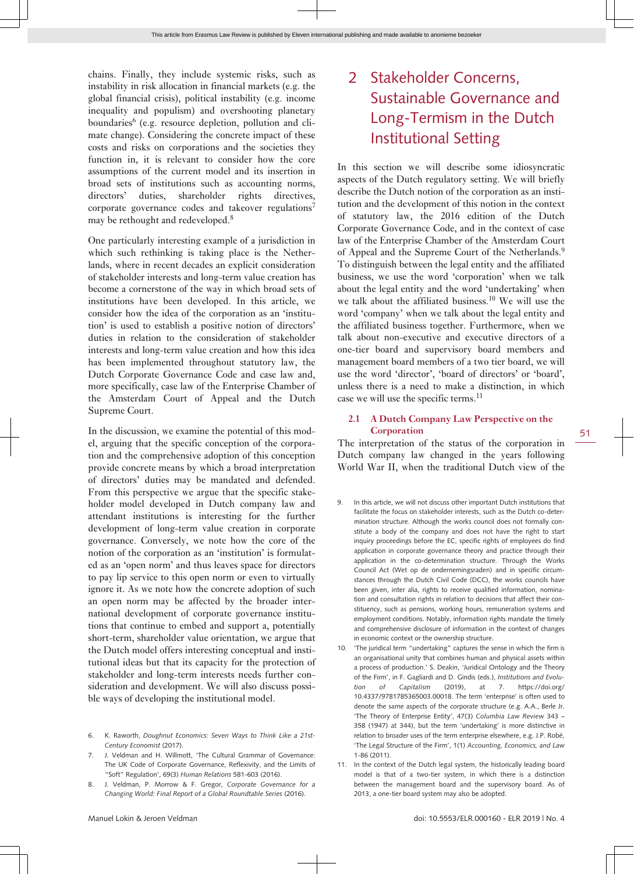chains. Finally, they include systemic risks, such as instability in risk allocation in financial markets (e.g. the global financial crisis), political instability (e.g. income inequality and populism) and overshooting planetary boundaries<sup>6</sup> (e.g. resource depletion, pollution and climate change). Considering the concrete impact of these costs and risks on corporations and the societies they function in, it is relevant to consider how the core assumptions of the current model and its insertion in broad sets of institutions such as accounting norms, directors' duties, shareholder rights directives, corporate governance codes and takeover regulations<sup>7</sup> may be rethought and redeveloped.<sup>8</sup>

One particularly interesting example of a jurisdiction in which such rethinking is taking place is the Netherlands, where in recent decades an explicit consideration of stakeholder interests and long-term value creation has become a cornerstone of the way in which broad sets of institutions have been developed. In this article, we consider how the idea of the corporation as an 'institution' is used to establish a positive notion of directors' duties in relation to the consideration of stakeholder interests and long-term value creation and how this idea has been implemented throughout statutory law, the Dutch Corporate Governance Code and case law and, more specifically, case law of the Enterprise Chamber of the Amsterdam Court of Appeal and the Dutch Supreme Court.

In the discussion, we examine the potential of this model, arguing that the specific conception of the corporation and the comprehensive adoption of this conception provide concrete means by which a broad interpretation of directors' duties may be mandated and defended. From this perspective we argue that the specific stakeholder model developed in Dutch company law and attendant institutions is interesting for the further development of long-term value creation in corporate governance. Conversely, we note how the core of the notion of the corporation as an 'institution' is formulated as an 'open norm' and thus leaves space for directors to pay lip service to this open norm or even to virtually ignore it. As we note how the concrete adoption of such an open norm may be affected by the broader international development of corporate governance institutions that continue to embed and support a, potentially short-term, shareholder value orientation, we argue that the Dutch model offers interesting conceptual and institutional ideas but that its capacity for the protection of stakeholder and long-term interests needs further consideration and development. We will also discuss possible ways of developing the institutional model.

- 6. K. Raworth, *Doughnut Economics: Seven Ways to Think Like a 21st-Century Economist* (2017).
- 7. J. Veldman and H. Willmott, 'The Cultural Grammar of Governance: The UK Code of Corporate Governance, Reflexivity, and the Limits of "Soft" Regulation', 69(3) *Human Relations* 581-603 (2016).
- 8. J. Veldman, P. Morrow & F. Gregor, *Corporate Governance for a Changing World: Final Report of a Global Roundtable Series* (2016).

### 2 Stakeholder Concerns, Sustainable Governance and Long-Termism in the Dutch Institutional Setting

In this section we will describe some idiosyncratic aspects of the Dutch regulatory setting. We will briefly describe the Dutch notion of the corporation as an institution and the development of this notion in the context of statutory law, the 2016 edition of the Dutch Corporate Governance Code, and in the context of case law of the Enterprise Chamber of the Amsterdam Court of Appeal and the Supreme Court of the Netherlands.<sup>9</sup> To distinguish between the legal entity and the affiliated business, we use the word 'corporation' when we talk about the legal entity and the word 'undertaking' when we talk about the affiliated business.<sup>10</sup> We will use the word 'company' when we talk about the legal entity and the affiliated business together. Furthermore, when we talk about non-executive and executive directors of a one-tier board and supervisory board members and management board members of a two tier board, we will use the word 'director', 'board of directors' or 'board', unless there is a need to make a distinction, in which case we will use the specific terms.<sup>11</sup>

#### **2.1 A Dutch Company Law Perspective on the Corporation**

The interpretation of the status of the corporation in Dutch company law changed in the years following World War II, when the traditional Dutch view of the

- In this article, we will not discuss other important Dutch institutions that facilitate the focus on stakeholder interests, such as the Dutch co-determination structure. Although the works council does not formally constitute a body of the company and does not have the right to start inquiry proceedings before the EC, specific rights of employees do find application in corporate governance theory and practice through their application in the co-determination structure. Through the Works Council Act (Wet op de ondernemingsraden) and in specific circumstances through the Dutch Civil Code (DCC), the works councils have been given, inter alia, rights to receive qualified information, nomination and consultation rights in relation to decisions that affect their constituency, such as pensions, working hours, remuneration systems and employment conditions. Notably, information rights mandate the timely and comprehensive disclosure of information in the context of changes in economic context or the ownership structure.
- 10. 'The juridical term "undertaking" captures the sense in which the firm is an organisational unity that combines human and physical assets within a process of production.' S. Deakin, 'Juridical Ontology and the Theory of the Firm', in F. Gagliardi and D. Gindis (eds.), *Institutions and Evolution of Capitalism* (2019), at 7. [https://doi.org/](https://doi.org/10.4337/9781785365003.00018) [10.4337/9781785365003.00018](https://doi.org/10.4337/9781785365003.00018). The term 'enterprise' is often used to denote the same aspects of the corporate structure (e.g. A.A., Berle Jr. 'The Theory of Enterprise Entity', 47(3) *Columbia Law Review* 343 – 358 (1947) at 344), but the term 'undertaking' is more distinctive in relation to broader uses of the term enterprise elsewhere, e.g. J.P. Robé, 'The Legal Structure of the Firm', 1(1) *Accounting, Economics, and Law* 1-86 (2011).
- 11. In the context of the Dutch legal system, the historically leading board model is that of a two-tier system, in which there is a distinction between the management board and the supervisory board. As of 2013, a one-tier board system may also be adopted.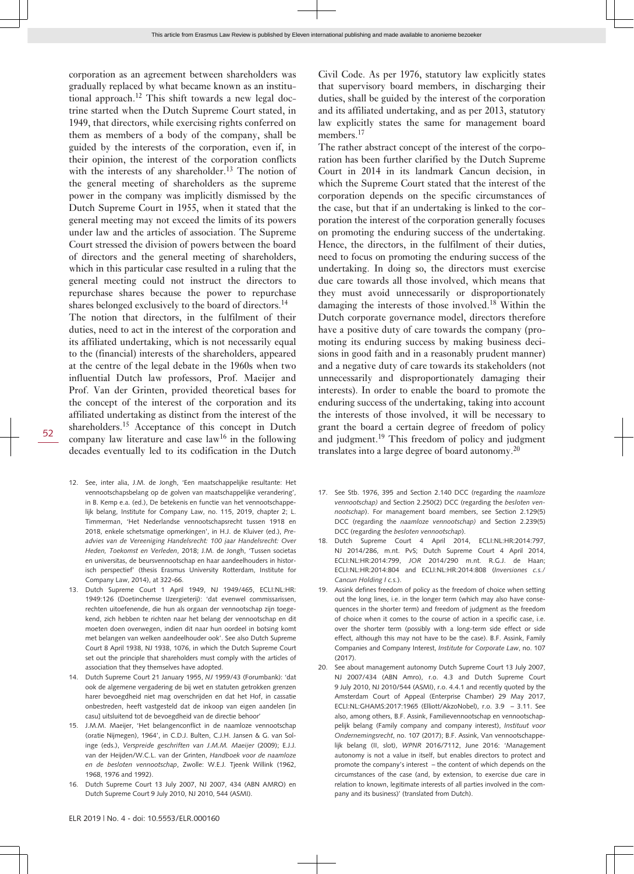corporation as an agreement between shareholders was gradually replaced by what became known as an institutional approach.12 This shift towards a new legal doctrine started when the Dutch Supreme Court stated, in 1949, that directors, while exercising rights conferred on them as members of a body of the company, shall be guided by the interests of the corporation, even if, in their opinion, the interest of the corporation conflicts with the interests of any shareholder.<sup>13</sup> The notion of the general meeting of shareholders as the supreme power in the company was implicitly dismissed by the Dutch Supreme Court in 1955, when it stated that the general meeting may not exceed the limits of its powers under law and the articles of association. The Supreme Court stressed the division of powers between the board of directors and the general meeting of shareholders, which in this particular case resulted in a ruling that the general meeting could not instruct the directors to repurchase shares because the power to repurchase shares belonged exclusively to the board of directors.<sup>14</sup>

The notion that directors, in the fulfilment of their duties, need to act in the interest of the corporation and its affiliated undertaking, which is not necessarily equal to the (financial) interests of the shareholders, appeared at the centre of the legal debate in the 1960s when two influential Dutch law professors, Prof. Maeijer and Prof. Van der Grinten, provided theoretical bases for the concept of the interest of the corporation and its affiliated undertaking as distinct from the interest of the shareholders.<sup>15</sup> Acceptance of this concept in Dutch company law literature and case  $law<sup>16</sup>$  in the following decades eventually led to its codification in the Dutch

- 12. See, inter alia, J.M. de Jongh, 'Een maatschappelijke resultante: Het vennootschapsbelang op de golven van maatschappelijke verandering', in B. Kemp e.a. (ed.), De betekenis en functie van het vennootschappelijk belang, Institute for Company Law, no. 115, 2019, chapter 2; L. Timmerman, 'Het Nederlandse vennootschapsrecht tussen 1918 en 2018, enkele schetsmatige opmerkingen', in H.J. de Kluiver (ed.), *Preadvies van de Vereeniging Handelsrecht: 100 jaar Handelsrecht: Over Heden, Toekomst en Verleden*, 2018; J.M. de Jongh, 'Tussen societas en universitas, de beursvennootschap en haar aandeelhouders in historisch perspectief' (thesis Erasmus University Rotterdam, Institute for Company Law, 2014), at 322-66.
- 13. Dutch Supreme Court 1 April 1949, NJ 1949/465, ECLI:NL:HR: 1949:126 (Doetinchemse IJzergieterij): 'dat evenwel commissarissen, rechten uitoefenende, die hun als orgaan der vennootschap zijn toegekend, zich hebben te richten naar het belang der vennootschap en dit moeten doen overwegen, indien dit naar hun oordeel in botsing komt met belangen van welken aandeelhouder ook'. See also Dutch Supreme Court 8 April 1938, NJ 1938, 1076, in which the Dutch Supreme Court set out the principle that shareholders must comply with the articles of association that they themselves have adopted.
- 14. Dutch Supreme Court 21 January 1955, *NJ* 1959/43 (Forumbank): 'dat ook de algemene vergadering de bij wet en statuten getrokken grenzen harer bevoegdheid niet mag overschrijden en dat het Hof, in cassatie onbestreden, heeft vastgesteld dat de inkoop van eigen aandelen [in casu] uitsluitend tot de bevoegdheid van de directie behoor'
- 15. J.M.M. Maeijer, 'Het belangenconflict in de naamloze vennootschap (oratie Nijmegen), 1964', in C.D.J. Bulten, C.J.H. Jansen & G. van Solinge (eds.), *Verspreide geschriften van J.M.M. Maeijer* (2009); E.J.J. van der Heijden/W.C.L. van der Grinten, *Handboek voor de naamloze en de besloten vennootschap*, Zwolle: W.E.J. Tjeenk Willink (1962, 1968, 1976 and 1992).
- 16. Dutch Supreme Court 13 July 2007, NJ 2007, 434 (ABN AMRO) en Dutch Supreme Court 9 July 2010, NJ 2010, 544 (ASMI).

Civil Code. As per 1976, statutory law explicitly states that supervisory board members, in discharging their duties, shall be guided by the interest of the corporation and its affiliated undertaking, and as per 2013, statutory law explicitly states the same for management board members.<sup>17</sup>

The rather abstract concept of the interest of the corporation has been further clarified by the Dutch Supreme Court in 2014 in its landmark Cancun decision, in which the Supreme Court stated that the interest of the corporation depends on the specific circumstances of the case, but that if an undertaking is linked to the corporation the interest of the corporation generally focuses on promoting the enduring success of the undertaking. Hence, the directors, in the fulfilment of their duties, need to focus on promoting the enduring success of the undertaking. In doing so, the directors must exercise due care towards all those involved, which means that they must avoid unnecessarily or disproportionately damaging the interests of those involved.<sup>18</sup> Within the Dutch corporate governance model, directors therefore have a positive duty of care towards the company (promoting its enduring success by making business decisions in good faith and in a reasonably prudent manner) and a negative duty of care towards its stakeholders (not unnecessarily and disproportionately damaging their interests). In order to enable the board to promote the enduring success of the undertaking, taking into account the interests of those involved, it will be necessary to grant the board a certain degree of freedom of policy and judgment.<sup>19</sup> This freedom of policy and judgment translates into a large degree of board autonomy.<sup>20</sup>

- 17. See Stb. 1976, 395 and Section 2.140 DCC (regarding the *naamloze vennootschap)* and Section 2.250(2) DCC (regarding the *besloten vennootschap*). For management board members, see Section 2.129(5) DCC (regarding the *naamloze vennootschap)* and Section 2.239(5) DCC (regarding the *besloten vennootschap*).
- 18. Dutch Supreme Court 4 April 2014, ECLI:NL:HR:2014:797, NJ 2014/286, m.nt. PvS; Dutch Supreme Court 4 April 2014, ECLI:NL:HR:2014:799, *JOR* 2014/290 m.nt. R.G.J. de Haan; ECLI:NL:HR:2014:804 and ECLI:NL:HR:2014:808 (*Inversiones c.s./ Cancun Holding I c.s.*).
- Assink defines freedom of policy as the freedom of choice when setting out the long lines, i.e. in the longer term (which may also have consequences in the shorter term) and freedom of judgment as the freedom of choice when it comes to the course of action in a specific case, i.e. over the shorter term (possibly with a long-term side effect or side effect, although this may not have to be the case). B.F. Assink, Family Companies and Company Interest, *Institute for Corporate Law*, no. 107 (2017).
- 20. See about management autonomy Dutch Supreme Court 13 July 2007, NJ 2007/434 (ABN Amro), r.o. 4.3 and Dutch Supreme Court 9 July 2010, NJ 2010/544 (ASMI), r.o. 4.4.1 and recently quoted by the Amsterdam Court of Appeal (Enterprise Chamber) 29 May 2017, ECLI:NL:GHAMS:2017:1965 (Elliott/AkzoNobel), r.o. 3.9 – 3.11. See also, among others, B.F. Assink, Familievennootschap en vennootschappelijk belang (Family company and company interest), *Instituut voor Ondernemingsrecht*, no. 107 (2017); B.F. Assink, Van vennootschappelijk belang (II, slot), *WPNR* 2016/7112, June 2016: 'Management autonomy is not a value in itself, but enables directors to protect and promote the company's interest – the content of which depends on the circumstances of the case (and, by extension, to exercise due care in relation to known, legitimate interests of all parties involved in the company and its business)' (translated from Dutch).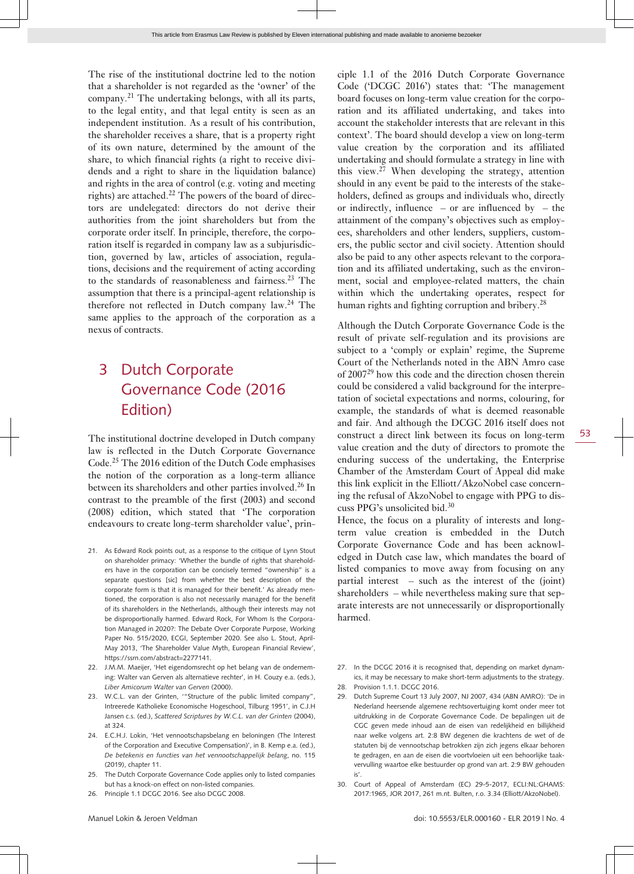The rise of the institutional doctrine led to the notion that a shareholder is not regarded as the 'owner' of the company.<sup>21</sup> The undertaking belongs, with all its parts, to the legal entity, and that legal entity is seen as an independent institution. As a result of his contribution, the shareholder receives a share, that is a property right of its own nature, determined by the amount of the share, to which financial rights (a right to receive dividends and a right to share in the liquidation balance) and rights in the area of control (e.g. voting and meeting rights) are attached.<sup>22</sup> The powers of the board of directors are undelegated: directors do not derive their authorities from the joint shareholders but from the corporate order itself. In principle, therefore, the corporation itself is regarded in company law as a subjurisdiction, governed by law, articles of association, regulations, decisions and the requirement of acting according to the standards of reasonableness and fairness.<sup>23</sup> The assumption that there is a principal-agent relationship is therefore not reflected in Dutch company law.<sup>24</sup> The same applies to the approach of the corporation as a

## 3 Dutch Corporate Governance Code (2016 Edition)

nexus of contracts.

The institutional doctrine developed in Dutch company law is reflected in the Dutch Corporate Governance Code.25 The 2016 edition of the Dutch Code emphasises the notion of the corporation as a long-term alliance between its shareholders and other parties involved.<sup>26</sup> In contrast to the preamble of the first (2003) and second (2008) edition, which stated that 'The corporation endeavours to create long-term shareholder value', prin-

- 21. As Edward Rock points out, as a response to the critique of Lynn Stout on shareholder primacy: 'Whether the bundle of rights that shareholders have in the corporation can be concisely termed "ownership" is a separate questions [sic] from whether the best description of the corporate form is that it is managed for their benefit.' As already mentioned, the corporation is also not necessarily managed for the benefit of its shareholders in the Netherlands, although their interests may not be disproportionally harmed. Edward Rock, For Whom Is the Corporation Managed in 2020?: The Debate Over Corporate Purpose, Working Paper No. 515/2020, ECGI, September 2020. See also L. Stout, April-May 2013, 'The Shareholder Value Myth, European Financial Review', <https://ssrn.com/abstract=2277141>.
- 22. J.M.M. Maeijer, 'Het eigendomsrecht op het belang van de onderneming: Walter van Gerven als alternatieve rechter', in H. Couzy e.a. (eds.), *Liber Amicorum Walter van Gerven* (2000).
- 23. W.C.L. van der Grinten, '"Structure of the public limited company", Intreerede Katholieke Economische Hogeschool, Tilburg 1951', in C.J.H Jansen c.s. (ed.), *Scattered Scriptures by W.C.L. van der Grinten* (2004), at 324.
- 24. E.C.H.J. Lokin, 'Het vennootschapsbelang en beloningen (The Interest of the Corporation and Executive Compensation)', in B. Kemp e.a. (ed.), *De betekenis en functies van het vennootschappelijk belang*, no. 115 (2019), chapter 11.
- 25. The Dutch Corporate Governance Code applies only to listed companies but has a knock-on effect on non-listed companies.
- 26. Principle 1.1 DCGC 2016. See also DCGC 2008.

ciple 1.1 of the 2016 Dutch Corporate Governance Code ('DCGC 2016') states that: 'The management board focuses on long-term value creation for the corporation and its affiliated undertaking, and takes into account the stakeholder interests that are relevant in this context'. The board should develop a view on long-term value creation by the corporation and its affiliated undertaking and should formulate a strategy in line with this view.<sup>27</sup> When developing the strategy, attention should in any event be paid to the interests of the stakeholders, defined as groups and individuals who, directly or indirectly, influence – or are influenced by – the attainment of the company's objectives such as employees, shareholders and other lenders, suppliers, customers, the public sector and civil society. Attention should also be paid to any other aspects relevant to the corporation and its affiliated undertaking, such as the environment, social and employee-related matters, the chain within which the undertaking operates, respect for human rights and fighting corruption and bribery.<sup>28</sup>

Although the Dutch Corporate Governance Code is the result of private self-regulation and its provisions are subject to a 'comply or explain' regime, the Supreme Court of the Netherlands noted in the ABN Amro case of 2007<sup>29</sup> how this code and the direction chosen therein could be considered a valid background for the interpretation of societal expectations and norms, colouring, for example, the standards of what is deemed reasonable and fair. And although the DCGC 2016 itself does not construct a direct link between its focus on long-term value creation and the duty of directors to promote the enduring success of the undertaking, the Enterprise Chamber of the Amsterdam Court of Appeal did make this link explicit in the Elliott/AkzoNobel case concerning the refusal of AkzoNobel to engage with PPG to discuss PPG's unsolicited bid.<sup>30</sup>

Hence, the focus on a plurality of interests and longterm value creation is embedded in the Dutch Corporate Governance Code and has been acknowledged in Dutch case law, which mandates the board of listed companies to move away from focusing on any partial interest – such as the interest of the (joint) shareholders – while nevertheless making sure that separate interests are not unnecessarily or disproportionally harmed.

- 27. In the DCGC 2016 it is recognised that, depending on market dynamics, it may be necessary to make short-term adjustments to the strategy.
- 28. Provision 1.1.1. DCGC 2016.
- 29. Dutch Supreme Court 13 July 2007, NJ 2007, 434 (ABN AMRO): 'De in Nederland heersende algemene rechtsovertuiging komt onder meer tot uitdrukking in de Corporate Governance Code. De bepalingen uit de CGC geven mede inhoud aan de eisen van redelijkheid en billijkheid naar welke volgens art. 2:8 BW degenen die krachtens de wet of de statuten bij de vennootschap betrokken zijn zich jegens elkaar behoren te gedragen, en aan de eisen die voortvloeien uit een behoorlijke taakvervulling waartoe elke bestuurder op grond van art. 2:9 BW gehouden is'.
- 30. Court of Appeal of Amsterdam (EC) 29-5-2017, ECLI:NL:GHAMS: 2017:1965, JOR 2017, 261 m.nt. Bulten, r.o. 3.34 (Elliott/AkzoNobel).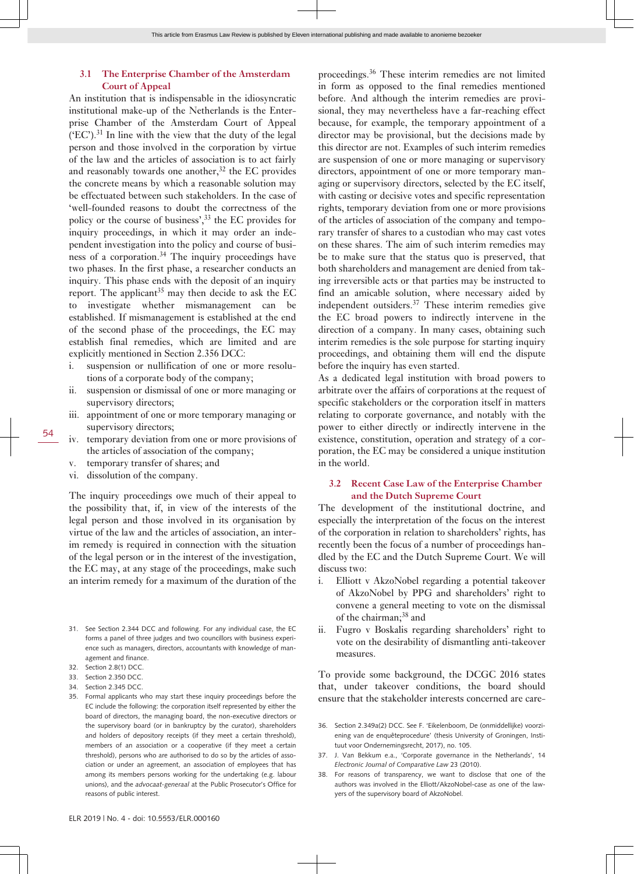#### **3.1 The Enterprise Chamber of the Amsterdam Court of Appeal**

An institution that is indispensable in the idiosyncratic institutional make-up of the Netherlands is the Enterprise Chamber of the Amsterdam Court of Appeal  $(EC')$ .<sup>31</sup> In line with the view that the duty of the legal person and those involved in the corporation by virtue of the law and the articles of association is to act fairly and reasonably towards one another, $32$  the EC provides the concrete means by which a reasonable solution may be effectuated between such stakeholders. In the case of 'well-founded reasons to doubt the correctness of the policy or the course of business',<sup>33</sup> the EC provides for inquiry proceedings, in which it may order an independent investigation into the policy and course of business of a corporation.<sup>34</sup> The inquiry proceedings have two phases. In the first phase, a researcher conducts an inquiry. This phase ends with the deposit of an inquiry report. The applicant<sup>35</sup> may then decide to ask the EC to investigate whether mismanagement can be established. If mismanagement is established at the end of the second phase of the proceedings, the EC may establish final remedies, which are limited and are explicitly mentioned in Section 2.356 DCC:

- i. suspension or nullification of one or more resolutions of a corporate body of the company;
- ii. suspension or dismissal of one or more managing or supervisory directors;
- iii. appointment of one or more temporary managing or supervisory directors;
- iv. temporary deviation from one or more provisions of the articles of association of the company;
- v. temporary transfer of shares; and
- vi. dissolution of the company.

The inquiry proceedings owe much of their appeal to the possibility that, if, in view of the interests of the legal person and those involved in its organisation by virtue of the law and the articles of association, an interim remedy is required in connection with the situation of the legal person or in the interest of the investigation, the EC may, at any stage of the proceedings, make such an interim remedy for a maximum of the duration of the

- 31. See Section 2.344 DCC and following. For any individual case, the EC forms a panel of three judges and two councillors with business experience such as managers, directors, accountants with knowledge of management and finance.
- 32. Section 2.8(1) DCC.
- 33. Section 2.350 DCC.
- 34. Section 2.345 DCC.
- 35. Formal applicants who may start these inquiry proceedings before the EC include the following: the corporation itself represented by either the board of directors, the managing board, the non-executive directors or the supervisory board (or in bankruptcy by the curator), shareholders and holders of depository receipts (if they meet a certain threshold), members of an association or a cooperative (if they meet a certain threshold), persons who are authorised to do so by the articles of association or under an agreement, an association of employees that has among its members persons working for the undertaking (e.g. labour unions), and the *advocaat-generaal* at the Public Prosecutor's Office for reasons of public interest.

proceedings.<sup>36</sup> These interim remedies are not limited in form as opposed to the final remedies mentioned before. And although the interim remedies are provisional, they may nevertheless have a far-reaching effect because, for example, the temporary appointment of a director may be provisional, but the decisions made by this director are not. Examples of such interim remedies are suspension of one or more managing or supervisory directors, appointment of one or more temporary managing or supervisory directors, selected by the EC itself, with casting or decisive votes and specific representation rights, temporary deviation from one or more provisions of the articles of association of the company and temporary transfer of shares to a custodian who may cast votes on these shares. The aim of such interim remedies may be to make sure that the status quo is preserved, that both shareholders and management are denied from taking irreversible acts or that parties may be instructed to find an amicable solution, where necessary aided by independent outsiders.<sup>37</sup> These interim remedies give the EC broad powers to indirectly intervene in the direction of a company. In many cases, obtaining such interim remedies is the sole purpose for starting inquiry proceedings, and obtaining them will end the dispute before the inquiry has even started.

As a dedicated legal institution with broad powers to arbitrate over the affairs of corporations at the request of specific stakeholders or the corporation itself in matters relating to corporate governance, and notably with the power to either directly or indirectly intervene in the existence, constitution, operation and strategy of a corporation, the EC may be considered a unique institution in the world.

#### **3.2 Recent Case Law of the Enterprise Chamber and the Dutch Supreme Court**

The development of the institutional doctrine, and especially the interpretation of the focus on the interest of the corporation in relation to shareholders' rights, has recently been the focus of a number of proceedings handled by the EC and the Dutch Supreme Court. We will discuss two:

- i. Elliott v AkzoNobel regarding a potential takeover of AkzoNobel by PPG and shareholders' right to convene a general meeting to vote on the dismissal of the chairman;<sup>38</sup> and
- ii. Fugro v Boskalis regarding shareholders' right to vote on the desirability of dismantling anti-takeover measures.

To provide some background, the DCGC 2016 states that, under takeover conditions, the board should ensure that the stakeholder interests concerned are care-

- 36. Section 2.349a(2) DCC. See F. 'Eikelenboom, De (onmiddellijke) voorziening van de enquêteprocedure' (thesis University of Groningen, Instituut voor Ondernemingsrecht, 2017), no. 105.
- 37. J. Van Bekkum e.a., 'Corporate governance in the Netherlands', 14 *Electronic Journal of Comparative Law* 23 (2010).
- 38. For reasons of transparency, we want to disclose that one of the authors was involved in the Elliott/AkzoNobel-case as one of the lawyers of the supervisory board of AkzoNobel.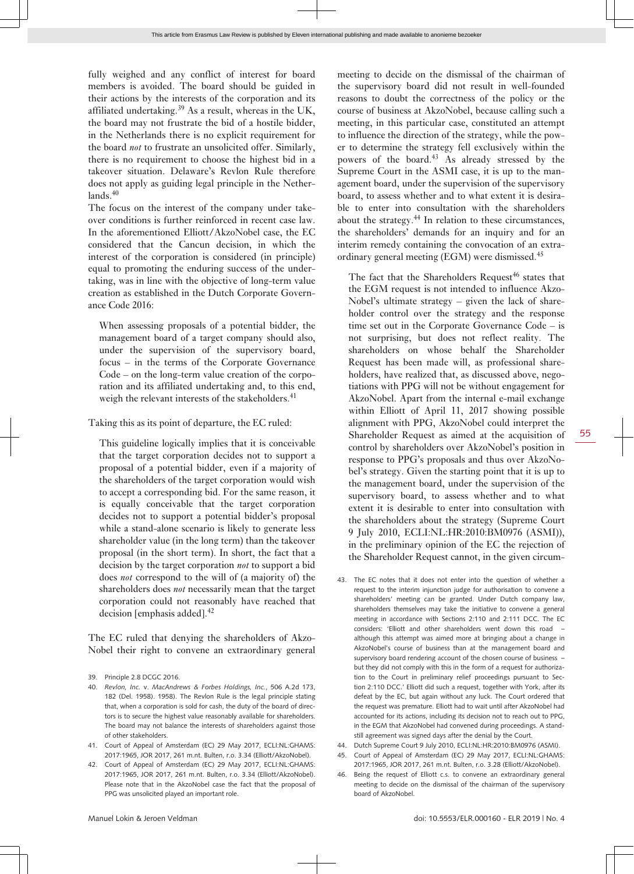fully weighed and any conflict of interest for board members is avoided. The board should be guided in their actions by the interests of the corporation and its affiliated undertaking.<sup>39</sup> As a result, whereas in the UK, the board may not frustrate the bid of a hostile bidder, in the Netherlands there is no explicit requirement for the board *not* to frustrate an unsolicited offer. Similarly, there is no requirement to choose the highest bid in a takeover situation. Delaware's Revlon Rule therefore

 $lands.<sup>40</sup>$ The focus on the interest of the company under takeover conditions is further reinforced in recent case law. In the aforementioned Elliott/AkzoNobel case, the EC considered that the Cancun decision, in which the interest of the corporation is considered (in principle) equal to promoting the enduring success of the undertaking, was in line with the objective of long-term value creation as established in the Dutch Corporate Governance Code 2016:

does not apply as guiding legal principle in the Nether-

When assessing proposals of a potential bidder, the management board of a target company should also, under the supervision of the supervisory board, focus – in the terms of the Corporate Governance Code – on the long-term value creation of the corporation and its affiliated undertaking and, to this end, weigh the relevant interests of the stakeholders.<sup>41</sup>

Taking this as its point of departure, the EC ruled:

This guideline logically implies that it is conceivable that the target corporation decides not to support a proposal of a potential bidder, even if a majority of the shareholders of the target corporation would wish to accept a corresponding bid. For the same reason, it is equally conceivable that the target corporation decides not to support a potential bidder's proposal while a stand-alone scenario is likely to generate less shareholder value (in the long term) than the takeover proposal (in the short term). In short, the fact that a decision by the target corporation *not* to support a bid does *not* correspond to the will of (a majority of) the shareholders does *not* necessarily mean that the target corporation could not reasonably have reached that decision [emphasis added]. $42$ 

The EC ruled that denying the shareholders of Akzo-Nobel their right to convene an extraordinary general meeting to decide on the dismissal of the chairman of the supervisory board did not result in well-founded reasons to doubt the correctness of the policy or the course of business at AkzoNobel, because calling such a meeting, in this particular case, constituted an attempt to influence the direction of the strategy, while the power to determine the strategy fell exclusively within the powers of the board.<sup>43</sup> As already stressed by the Supreme Court in the ASMI case, it is up to the management board, under the supervision of the supervisory board, to assess whether and to what extent it is desirable to enter into consultation with the shareholders about the strategy.<sup>44</sup> In relation to these circumstances, the shareholders' demands for an inquiry and for an interim remedy containing the convocation of an extraordinary general meeting (EGM) were dismissed.<sup>45</sup>

The fact that the Shareholders Request<sup>46</sup> states that the EGM request is not intended to influence Akzo-Nobel's ultimate strategy – given the lack of shareholder control over the strategy and the response time set out in the Corporate Governance Code – is not surprising, but does not reflect reality. The shareholders on whose behalf the Shareholder Request has been made will, as professional shareholders, have realized that, as discussed above, negotiations with PPG will not be without engagement for AkzoNobel. Apart from the internal e-mail exchange within Elliott of April 11, 2017 showing possible alignment with PPG, AkzoNobel could interpret the Shareholder Request as aimed at the acquisition of control by shareholders over AkzoNobel's position in response to PPG's proposals and thus over AkzoNobel's strategy. Given the starting point that it is up to the management board, under the supervision of the supervisory board, to assess whether and to what extent it is desirable to enter into consultation with the shareholders about the strategy (Supreme Court 9 July 2010, ECLI:NL:HR:2010:BM0976 (ASMI)), in the preliminary opinion of the EC the rejection of the Shareholder Request cannot, in the given circum-

- 43. The EC notes that it does not enter into the question of whether a request to the interim injunction judge for authorisation to convene a shareholders' meeting can be granted. Under Dutch company law, shareholders themselves may take the initiative to convene a general meeting in accordance with Sections 2:110 and 2:111 DCC. The EC considers: 'Elliott and other shareholders went down this road – although this attempt was aimed more at bringing about a change in AkzoNobel's course of business than at the management board and supervisory board rendering account of the chosen course of business – but they did not comply with this in the form of a request for authorization to the Court in preliminary relief proceedings pursuant to Section 2:110 DCC.' Elliott did such a request, together with York, after its defeat by the EC, but again without any luck. The Court ordered that the request was premature. Elliott had to wait until after AkzoNobel had accounted for its actions, including its decision not to reach out to PPG, in the EGM that AkzoNobel had convened during proceedings. A standstill agreement was signed days after the denial by the Court.
- 44. Dutch Supreme Court 9 July 2010, ECLI:NL:HR:2010:BM0976 (ASMI).
- 45. Court of Appeal of Amsterdam (EC) 29 May 2017, ECLI:NL:GHAMS: 2017:1965, JOR 2017, 261 m.nt. Bulten, r.o. 3.28 (Elliott/AkzoNobel).
- 46. Being the request of Elliott c.s. to convene an extraordinary general meeting to decide on the dismissal of the chairman of the supervisory board of AkzoNobel.

<sup>39.</sup> Principle 2.8 DCGC 2016.

<sup>40.</sup> *Revlon, Inc.* v. *MacAndrews & Forbes Holdings, Inc.*, 506 A.2d 173, 182 (Del. 1958). 1958). The Revlon Rule is the legal principle stating that, when a corporation is sold for cash, the duty of the board of directors is to secure the highest value reasonably available for shareholders. The board may not balance the interests of shareholders against those of other stakeholders.

<sup>41.</sup> Court of Appeal of Amsterdam (EC) 29 May 2017, ECLI:NL:GHAMS: 2017:1965, JOR 2017, 261 m.nt. Bulten, r.o. 3.34 (Elliott/AkzoNobel).

<sup>42.</sup> Court of Appeal of Amsterdam (EC) 29 May 2017, ECLI:NL:GHAMS: 2017:1965, JOR 2017, 261 m.nt. Bulten, r.o. 3.34 (Elliott/AkzoNobel). Please note that in the AkzoNobel case the fact that the proposal of PPG was unsolicited played an important role.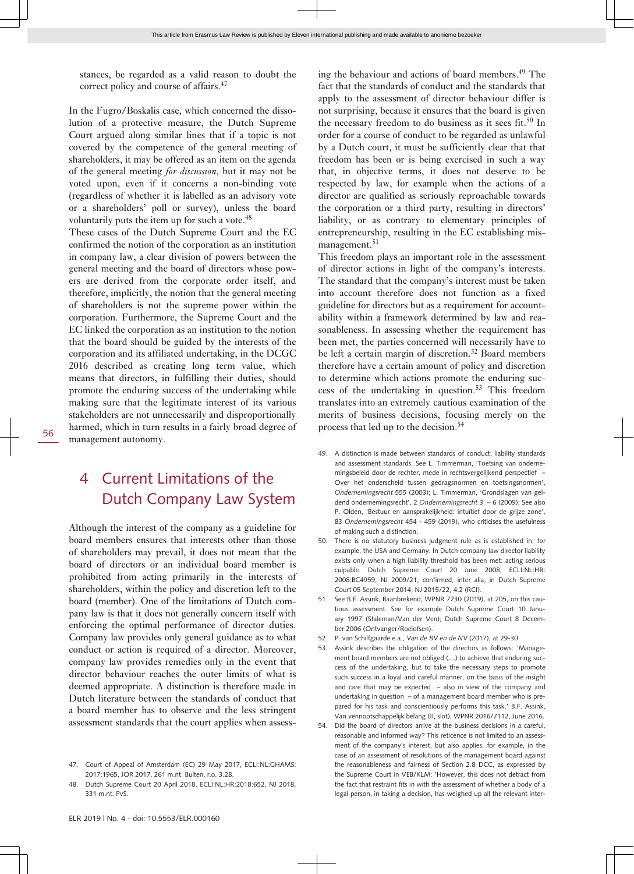stances, be regarded as a valid reason to doubt the correct policy and course of affairs.<sup>47</sup>

In the Fugro/Boskalis case, which concerned the dissolution of a protective measure, the Dutch Supreme Court argued along similar lines that if a topic is not covered by the competence of the general meeting of shareholders, it may be offered as an item on the agenda of the general meeting *for discussion*, but it may not be voted upon, even if it concerns a non-binding vote (regardless of whether it is labelled as an advisory vote or a shareholders' poll or survey), unless the board voluntarily puts the item up for such a vote.<sup>48</sup>

These cases of the Dutch Supreme Court and the EC confirmed the notion of the corporation as an institution in company law, a clear division of powers between the general meeting and the board of directors whose powers are derived from the corporate order itself, and therefore, implicitly, the notion that the general meeting of shareholders is not the supreme power within the corporation. Furthermore, the Supreme Court and the EC linked the corporation as an institution to the notion that the board should be guided by the interests of the corporation and its affiliated undertaking, in the DCGC 2016 described as creating long term value, which means that directors, in fulfilling their duties, should promote the enduring success of the undertaking while making sure that the legitimate interest of its various stakeholders are not unnecessarily and disproportionally harmed, which in turn results in a fairly broad degree of management autonomy.

4 Current Limitations of the Dutch Company Law System

Although the interest of the company as a guideline for board members ensures that interests other than those of shareholders may prevail, it does not mean that the board of directors or an individual board member is prohibited from acting primarily in the interests of shareholders, within the policy and discretion left to the board (member). One of the limitations of Dutch company law is that it does not generally concern itself with enforcing the optimal performance of director duties. Company law provides only general guidance as to what conduct or action is required of a director. Moreover, company law provides remedies only in the event that director behaviour reaches the outer limits of what is deemed appropriate. A distinction is therefore made in Dutch literature between the standards of conduct that a board member has to observe and the less stringent assessment standards that the court applies when assessing the behaviour and actions of board members.<sup>49</sup> The fact that the standards of conduct and the standards that apply to the assessment of director behaviour differ is not surprising, because it ensures that the board is given the necessary freedom to do business as it sees fit.<sup>50</sup> In order for a course of conduct to be regarded as unlawful by a Dutch court, it must be sufficiently clear that that freedom has been or is being exercised in such a way that, in objective terms, it does not deserve to be respected by law, for example when the actions of a director are qualified as seriously reproachable towards the corporation or a third party, resulting in directors' liability, or as contrary to elementary principles of entrepreneurship, resulting in the EC establishing mismanagement.<sup>51</sup>

This freedom plays an important role in the assessment of director actions in light of the company's interests. The standard that the company's interest must be taken into account therefore does not function as a fixed guideline for directors but as a requirement for accountability within a framework determined by law and reasonableness. In assessing whether the requirement has been met, the parties concerned will necessarily have to be left a certain margin of discretion.<sup>52</sup> Board members therefore have a certain amount of policy and discretion to determine which actions promote the enduring success of the undertaking in question.53 This freedom translates into an extremely cautious examination of the merits of business decisions, focusing merely on the process that led up to the decision.<sup>54</sup>

- 49. A distinction is made between standards of conduct, liability standards and assessment standards. See L. Timmerman, 'Toetsing van ondernemingsbeleid door de rechter, mede in rechtsvergelijkend perspectief – Over het onderscheid tussen gedragsnormen en toetsingsnormen', *Ondernemingsrecht* 555 (2003); L. Timmerman, 'Grondslagen van geldend ondernemingsrecht', 2 *Ondernemingsrecht* 3 – 6 (2009); See also P. Olden, 'Bestuur en aansprakelijkheid: intuïtief door de grijze zone', 83 *Ondernemingsrecht* 454 - 459 (2019), who criticises the usefulness of making such a distinction.
- 50. There is no statutory business judgment rule as is established in, for example, the USA and Germany. In Dutch company law director liability exists only when a high liability threshold has been met: acting serious culpable. Dutch Supreme Court 20 June 2008, ECLI:NL:HR: 2008:BC4959, NJ 2009/21, confirmed, inter alia, in Dutch Supreme Court 05 September 2014, NJ 2015/22, 4.2 (RCI).
- 51. See B.F. Assink, Baanbrekend, WPNR 7230 (2019), at 205, on this cautious assessment. See for example Dutch Supreme Court 10 January 1997 (Staleman/Van der Ven); Dutch Supreme Court 8 December 2006 (Ontvanger/Roelofsen).
- 52. P. van Schilfgaarde e.a., *Van de BV en de NV* (2017), at 29-30.
- 53. Assink describes the obligation of the directors as follows: 'Management board members are not obliged (…) to achieve that enduring success of the undertaking, but to take the necessary steps to promote such success in a loyal and careful manner, on the basis of the insight and care that may be expected – also in view of the company and undertaking in question  $-$  of a management board member who is prepared for his task and conscientiously performs this task.' B.F. Assink, Van vennootschappelijk belang (II, slot), WPNR 2016/7112, June 2016.
- 54. Did the board of directors arrive at the business decisions in a careful, reasonable and informed way? This reticence is not limited to an assessment of the company's interest, but also applies, for example, in the case of an assessment of resolutions of the management board against the reasonableness and fairness of Section 2.8 DCC, as expressed by the Supreme Court in VEB/KLM: 'However, this does not detract from the fact that restraint fits in with the assessment of whether a body of a legal person, in taking a decision, has weighed up all the relevant inter-

56

<sup>47.</sup> Court of Appeal of Amsterdam (EC) 29 May 2017, ECLI:NL:GHAMS: 2017:1965, JOR 2017, 261 m.nt. Bulten, r.o. 3.28.

<sup>48.</sup> Dutch Supreme Court 20 April 2018, ECLI:NL:HR:2018:652, NJ 2018, 331 m.nt. PvS.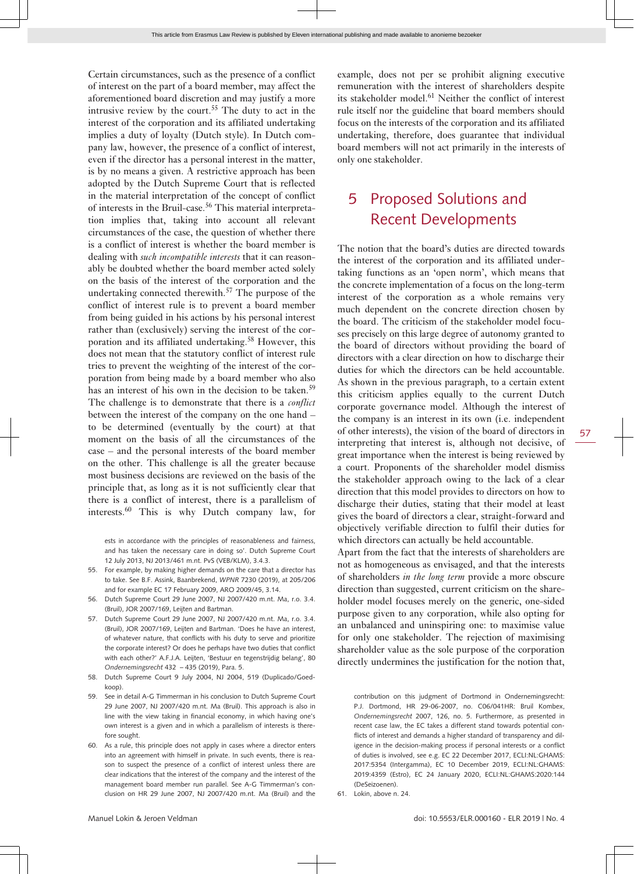Certain circumstances, such as the presence of a conflict of interest on the part of a board member, may affect the aforementioned board discretion and may justify a more intrusive review by the court.<sup>55</sup> The duty to act in the interest of the corporation and its affiliated undertaking implies a duty of loyalty (Dutch style). In Dutch company law, however, the presence of a conflict of interest, even if the director has a personal interest in the matter, is by no means a given. A restrictive approach has been adopted by the Dutch Supreme Court that is reflected in the material interpretation of the concept of conflict of interests in the Bruil-case.<sup>56</sup> This material interpretation implies that, taking into account all relevant circumstances of the case, the question of whether there is a conflict of interest is whether the board member is dealing with *such incompatible interests* that it can reasonably be doubted whether the board member acted solely on the basis of the interest of the corporation and the undertaking connected therewith.<sup>57</sup> The purpose of the conflict of interest rule is to prevent a board member from being guided in his actions by his personal interest rather than (exclusively) serving the interest of the corporation and its affiliated undertaking.<sup>58</sup> However, this does not mean that the statutory conflict of interest rule tries to prevent the weighting of the interest of the corporation from being made by a board member who also has an interest of his own in the decision to be taken.<sup>59</sup> The challenge is to demonstrate that there is a *conflict* between the interest of the company on the one hand – to be determined (eventually by the court) at that moment on the basis of all the circumstances of the case – and the personal interests of the board member on the other. This challenge is all the greater because most business decisions are reviewed on the basis of the principle that, as long as it is not sufficiently clear that there is a conflict of interest, there is a parallelism of interests.60 This is why Dutch company law, for

ests in accordance with the principles of reasonableness and fairness, and has taken the necessary care in doing so'. Dutch Supreme Court 12 July 2013, NJ 2013/461 m.nt. PvS (VEB/KLM), 3.4.3.

- 55. For example, by making higher demands on the care that a director has to take. See B.F. Assink, Baanbrekend, *WPNR* 7230 (2019), at 205/206 and for example EC 17 February 2009, ARO 2009/45, 3.14.
- 56. Dutch Supreme Court 29 June 2007, NJ 2007/420 m.nt. Ma, r.o. 3.4. (Bruil), JOR 2007/169, Leijten and Bartman.
- 57. Dutch Supreme Court 29 June 2007, NJ 2007/420 m.nt. Ma, r.o. 3.4. (Bruil), JOR 2007/169, Leijten and Bartman. 'Does he have an interest, of whatever nature, that conflicts with his duty to serve and prioritize the corporate interest? Or does he perhaps have two duties that conflict with each other?' A.F.J.A. Leijten, 'Bestuur en tegenstrijdig belang', 80 *Ondernemingsrecht* 432 – 435 (2019), Para. 5.
- 58. Dutch Supreme Court 9 July 2004, NJ 2004, 519 (Duplicado/Goedkoop).
- 59. See in detail A-G Timmerman in his conclusion to Dutch Supreme Court 29 June 2007, NJ 2007/420 m.nt. Ma (Bruil). This approach is also in line with the view taking in financial economy, in which having one's own interest is a given and in which a parallelism of interests is therefore sought.
- 60. As a rule, this principle does not apply in cases where a director enters into an agreement with himself in private. In such events, there is reason to suspect the presence of a conflict of interest unless there are clear indications that the interest of the company and the interest of the management board member run parallel. See A-G Timmerman's conclusion on HR 29 June 2007, NJ 2007/420 m.nt. Ma (Bruil) and the

example, does not per se prohibit aligning executive remuneration with the interest of shareholders despite its stakeholder model. $61$  Neither the conflict of interest rule itself nor the guideline that board members should focus on the interests of the corporation and its affiliated undertaking, therefore, does guarantee that individual board members will not act primarily in the interests of only one stakeholder.

### 5 Proposed Solutions and Recent Developments

The notion that the board's duties are directed towards the interest of the corporation and its affiliated undertaking functions as an 'open norm', which means that the concrete implementation of a focus on the long-term interest of the corporation as a whole remains very much dependent on the concrete direction chosen by the board. The criticism of the stakeholder model focuses precisely on this large degree of autonomy granted to the board of directors without providing the board of directors with a clear direction on how to discharge their duties for which the directors can be held accountable. As shown in the previous paragraph, to a certain extent this criticism applies equally to the current Dutch corporate governance model. Although the interest of the company is an interest in its own (i.e. independent of other interests), the vision of the board of directors in interpreting that interest is, although not decisive, of great importance when the interest is being reviewed by a court. Proponents of the shareholder model dismiss the stakeholder approach owing to the lack of a clear direction that this model provides to directors on how to discharge their duties, stating that their model at least gives the board of directors a clear, straight-forward and objectively verifiable direction to fulfil their duties for which directors can actually be held accountable.

Apart from the fact that the interests of shareholders are not as homogeneous as envisaged, and that the interests of shareholders *in the long term* provide a more obscure direction than suggested, current criticism on the shareholder model focuses merely on the generic, one-sided purpose given to any corporation, while also opting for an unbalanced and uninspiring one: to maximise value for only one stakeholder. The rejection of maximising shareholder value as the sole purpose of the corporation directly undermines the justification for the notion that,

contribution on this judgment of Dortmond in Ondernemingsrecht: P.J. Dortmond, HR 29-06-2007, no. C06/041HR: Bruil Kombex, *Ondernemingsrecht* 2007, 126, no. 5. Furthermore, as presented in recent case law, the EC takes a different stand towards potential conflicts of interest and demands a higher standard of transparency and diligence in the decision-making process if personal interests or a conflict of duties is involved, see e.g. EC 22 December 2017, ECLI:NL:GHAMS: 2017:5354 (Intergamma), EC 10 December 2019, ECLI:NL:GHAMS: 2019:4359 (Estro), EC 24 January 2020, ECLI:NL:GHAMS:2020:144 (DeSeizoenen).

61. Lokin, above n. 24.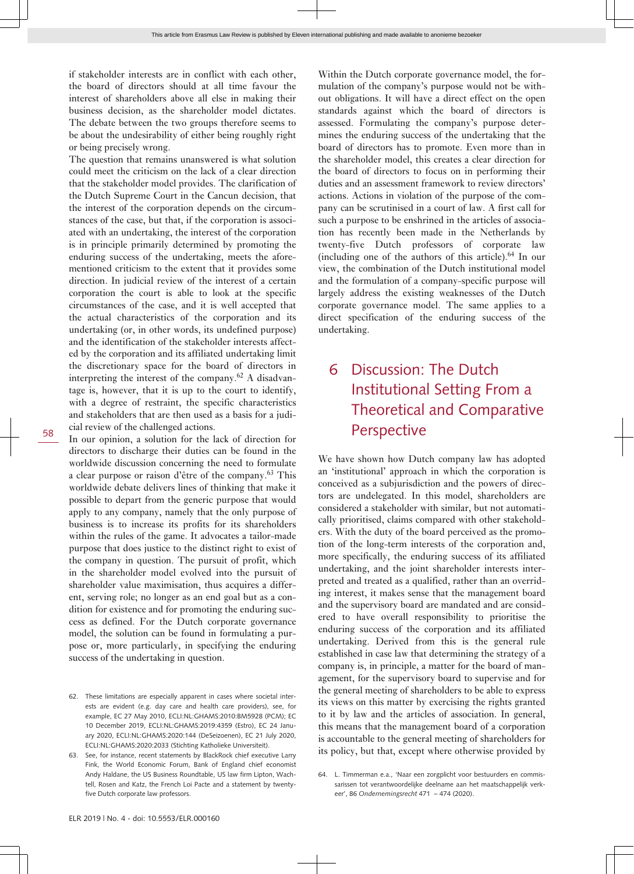if stakeholder interests are in conflict with each other, the board of directors should at all time favour the interest of shareholders above all else in making their business decision, as the shareholder model dictates. The debate between the two groups therefore seems to be about the undesirability of either being roughly right or being precisely wrong.

The question that remains unanswered is what solution could meet the criticism on the lack of a clear direction that the stakeholder model provides. The clarification of the Dutch Supreme Court in the Cancun decision, that the interest of the corporation depends on the circumstances of the case, but that, if the corporation is associated with an undertaking, the interest of the corporation is in principle primarily determined by promoting the enduring success of the undertaking, meets the aforementioned criticism to the extent that it provides some direction. In judicial review of the interest of a certain corporation the court is able to look at the specific circumstances of the case, and it is well accepted that the actual characteristics of the corporation and its undertaking (or, in other words, its undefined purpose) and the identification of the stakeholder interests affected by the corporation and its affiliated undertaking limit the discretionary space for the board of directors in interpreting the interest of the company.<sup>62</sup> A disadvantage is, however, that it is up to the court to identify, with a degree of restraint, the specific characteristics and stakeholders that are then used as a basis for a judicial review of the challenged actions.

In our opinion, a solution for the lack of direction for directors to discharge their duties can be found in the worldwide discussion concerning the need to formulate a clear purpose or raison d'être of the company.<sup>63</sup> This worldwide debate delivers lines of thinking that make it possible to depart from the generic purpose that would apply to any company, namely that the only purpose of business is to increase its profits for its shareholders within the rules of the game. It advocates a tailor-made purpose that does justice to the distinct right to exist of the company in question. The pursuit of profit, which in the shareholder model evolved into the pursuit of shareholder value maximisation, thus acquires a different, serving role; no longer as an end goal but as a condition for existence and for promoting the enduring success as defined. For the Dutch corporate governance model, the solution can be found in formulating a purpose or, more particularly, in specifying the enduring success of the undertaking in question.

Within the Dutch corporate governance model, the formulation of the company's purpose would not be without obligations. It will have a direct effect on the open standards against which the board of directors is assessed. Formulating the company's purpose determines the enduring success of the undertaking that the board of directors has to promote. Even more than in the shareholder model, this creates a clear direction for the board of directors to focus on in performing their duties and an assessment framework to review directors' actions. Actions in violation of the purpose of the company can be scrutinised in a court of law. A first call for such a purpose to be enshrined in the articles of association has recently been made in the Netherlands by twenty-five Dutch professors of corporate law (including one of the authors of this article). $64$  In our view, the combination of the Dutch institutional model and the formulation of a company-specific purpose will largely address the existing weaknesses of the Dutch corporate governance model. The same applies to a direct specification of the enduring success of the undertaking.

### 6 Discussion: The Dutch Institutional Setting From a Theoretical and Comparative Perspective

We have shown how Dutch company law has adopted an 'institutional' approach in which the corporation is conceived as a subjurisdiction and the powers of directors are undelegated. In this model, shareholders are considered a stakeholder with similar, but not automatically prioritised, claims compared with other stakeholders. With the duty of the board perceived as the promotion of the long-term interests of the corporation and, more specifically, the enduring success of its affiliated undertaking, and the joint shareholder interests interpreted and treated as a qualified, rather than an overriding interest, it makes sense that the management board and the supervisory board are mandated and are considered to have overall responsibility to prioritise the enduring success of the corporation and its affiliated undertaking. Derived from this is the general rule established in case law that determining the strategy of a company is, in principle, a matter for the board of management, for the supervisory board to supervise and for the general meeting of shareholders to be able to express its views on this matter by exercising the rights granted to it by law and the articles of association. In general, this means that the management board of a corporation is accountable to the general meeting of shareholders for its policy, but that, except where otherwise provided by

<sup>62.</sup> These limitations are especially apparent in cases where societal interests are evident (e.g. day care and health care providers), see, for example, EC 27 May 2010, ECLI:NL:GHAMS:2010:BM5928 (PCM); EC 10 December 2019, ECLI:NL:GHAMS:2019:4359 (Estro), EC 24 January 2020, ECLI:NL:GHAMS:2020:144 (DeSeizoenen), EC 21 July 2020, ECLI:NL:GHAMS:2020:2033 (Stichting Katholieke Universiteit).

<sup>63.</sup> See, for instance, recent statements by BlackRock chief executive Larry Fink, the World Economic Forum, Bank of England chief economist Andy Haldane, the US Business Roundtable, US law firm Lipton, Wachtell, Rosen and Katz, the French Loi Pacte and a statement by twentyfive Dutch corporate law professors.

<sup>64.</sup> L. Timmerman e.a., 'Naar een zorgplicht voor bestuurders en commissarissen tot verantwoordelijke deelname aan het maatschappelijk verkeer', 86 *Ondernemingsrecht* 471 – 474 (2020).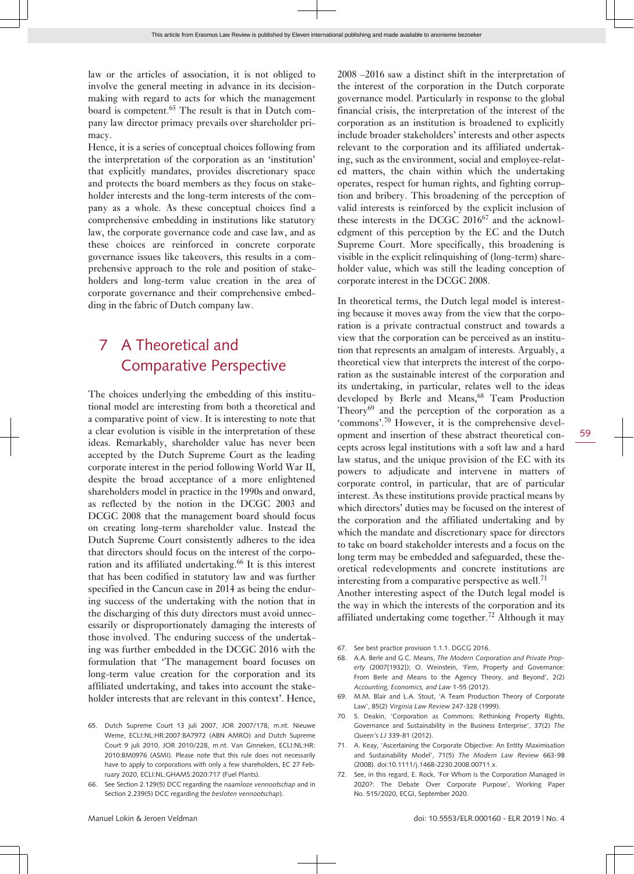law or the articles of association, it is not obliged to involve the general meeting in advance in its decisionmaking with regard to acts for which the management board is competent.65 The result is that in Dutch company law director primacy prevails over shareholder primacy.

Hence, it is a series of conceptual choices following from the interpretation of the corporation as an 'institution' that explicitly mandates, provides discretionary space and protects the board members as they focus on stakeholder interests and the long-term interests of the company as a whole. As these conceptual choices find a comprehensive embedding in institutions like statutory law, the corporate governance code and case law, and as these choices are reinforced in concrete corporate governance issues like takeovers, this results in a comprehensive approach to the role and position of stakeholders and long-term value creation in the area of corporate governance and their comprehensive embedding in the fabric of Dutch company law.

### 7 A Theoretical and Comparative Perspective

The choices underlying the embedding of this institutional model are interesting from both a theoretical and a comparative point of view. It is interesting to note that a clear evolution is visible in the interpretation of these ideas. Remarkably, shareholder value has never been accepted by the Dutch Supreme Court as the leading corporate interest in the period following World War II, despite the broad acceptance of a more enlightened shareholders model in practice in the 1990s and onward, as reflected by the notion in the DCGC 2003 and DCGC 2008 that the management board should focus on creating long-term shareholder value. Instead the Dutch Supreme Court consistently adheres to the idea that directors should focus on the interest of the corporation and its affiliated undertaking.<sup>66</sup> It is this interest that has been codified in statutory law and was further specified in the Cancun case in 2014 as being the enduring success of the undertaking with the notion that in the discharging of this duty directors must avoid unnecessarily or disproportionately damaging the interests of those involved. The enduring success of the undertaking was further embedded in the DCGC 2016 with the formulation that 'The management board focuses on long-term value creation for the corporation and its affiliated undertaking, and takes into account the stakeholder interests that are relevant in this context'. Hence,

2008 –2016 saw a distinct shift in the interpretation of the interest of the corporation in the Dutch corporate governance model. Particularly in response to the global financial crisis, the interpretation of the interest of the corporation as an institution is broadened to explicitly include broader stakeholders' interests and other aspects relevant to the corporation and its affiliated undertaking, such as the environment, social and employee-related matters, the chain within which the undertaking operates, respect for human rights, and fighting corruption and bribery. This broadening of the perception of valid interests is reinforced by the explicit inclusion of these interests in the DCGC 2016<sup>67</sup> and the acknowledgment of this perception by the EC and the Dutch Supreme Court. More specifically, this broadening is visible in the explicit relinquishing of (long-term) shareholder value, which was still the leading conception of corporate interest in the DCGC 2008.

In theoretical terms, the Dutch legal model is interesting because it moves away from the view that the corporation is a private contractual construct and towards a view that the corporation can be perceived as an institution that represents an amalgam of interests. Arguably, a theoretical view that interprets the interest of the corporation as the sustainable interest of the corporation and its undertaking, in particular, relates well to the ideas developed by Berle and Means,<sup>68</sup> Team Production Theory $^{69}$  and the perception of the corporation as a 'commons'.70 However, it is the comprehensive development and insertion of these abstract theoretical concepts across legal institutions with a soft law and a hard law status, and the unique provision of the EC with its powers to adjudicate and intervene in matters of corporate control, in particular, that are of particular interest. As these institutions provide practical means by which directors' duties may be focused on the interest of the corporation and the affiliated undertaking and by which the mandate and discretionary space for directors to take on board stakeholder interests and a focus on the long term may be embedded and safeguarded, these theoretical redevelopments and concrete institutions are interesting from a comparative perspective as well.<sup>71</sup>

Another interesting aspect of the Dutch legal model is the way in which the interests of the corporation and its affiliated undertaking come together.72 Although it may

- 67. See best practice provision 1.1.1. DGCG 2016.
- 68. A.A. Berle and G.C. Means, *The Modern Corporation and Private Property* (2007[1932]); O. Weinstein, 'Firm, Property and Governance: From Berle and Means to the Agency Theory, and Beyond', 2(2) *Accounting, Economics, and Law* 1-55 (2012).
- 69. M.M. Blair and L.A. Stout, 'A Team Production Theory of Corporate Law', 85(2) *Virginia Law Review* 247-328 (1999).
- 70. S. Deakin, 'Corporation as Commons: Rethinking Property Rights, Governance and Sustainability in the Business Enterprise', 37(2) *The Queen's LJ* 339-81 (2012).
- 71. A. Keay, 'Ascertaining the Corporate Objective: An Entity Maximisation and Sustainability Model', 71(5) *The Modern Law Review* 663-98 (2008). doi:10.1111/j.1468-2230.2008.00711.x.
- 72. See, in this regard, E. Rock, 'For Whom is the Corporation Managed in 2020?: The Debate Over Corporate Purpose', Working Paper No. 515/2020, ECGI, September 2020.

<sup>65.</sup> Dutch Supreme Court 13 juli 2007, JOR 2007/178, m.nt. Nieuwe Weme, ECLI:NL:HR:2007:BA7972 (ABN AMRO) and Dutch Supreme Court 9 juli 2010, JOR 2010/228, m.nt. Van Ginneken, ECLI:NL:HR: 2010:BM0976 (ASMI). Please note that this rule does not necessarily have to apply to corporations with only a few shareholders, EC 27 February 2020, ECLI:NL:GHAMS:2020:717 (Fuel Plants).

<sup>66.</sup> See Section 2.129(5) DCC regarding the *naamloze vennootschap* and in Section 2.239(5) DCC regarding the *besloten vennootschap*).